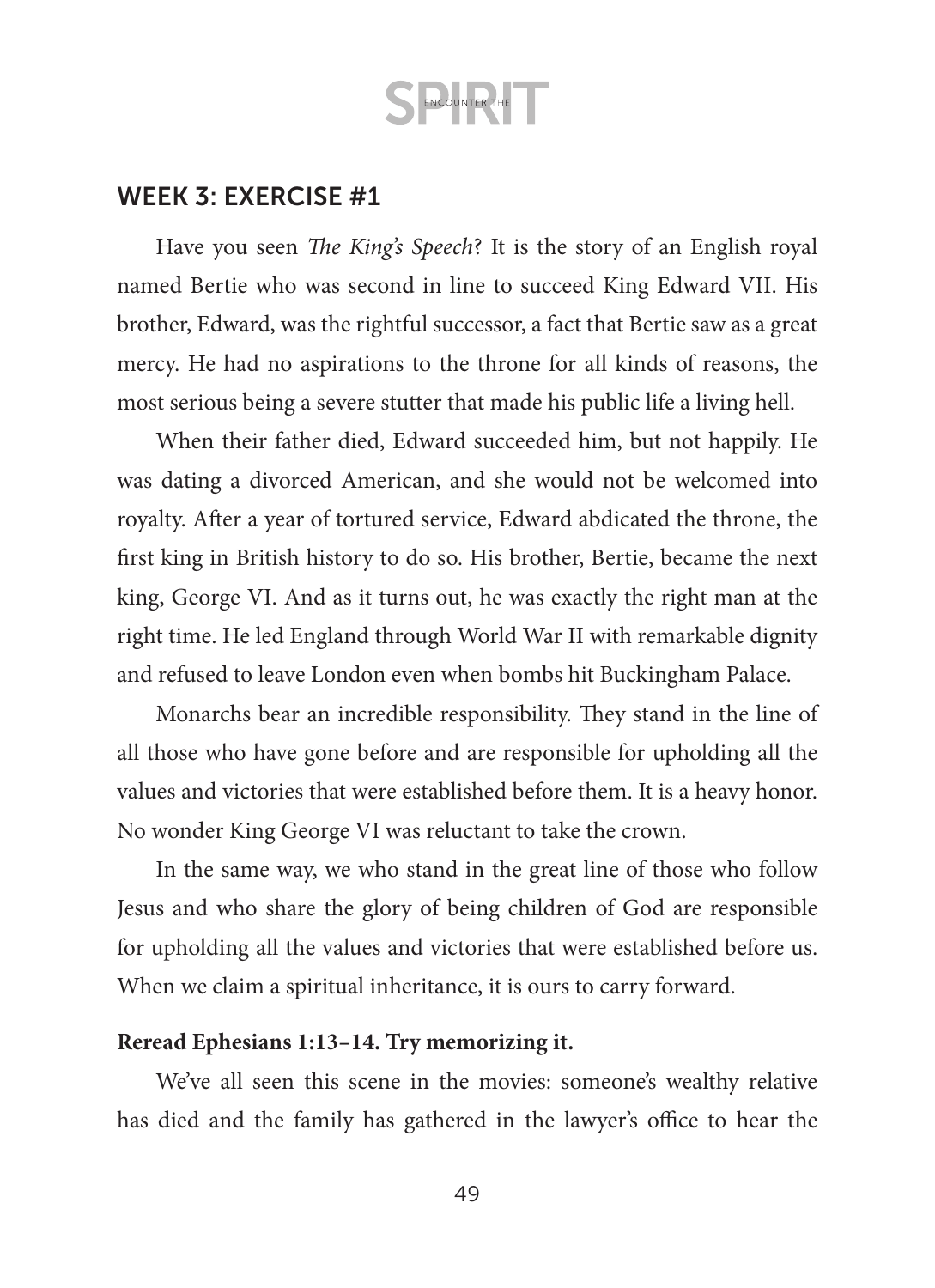### WEEK 3: EXERCISE #1

Have you seen *The King's Speech*? It is the story of an English royal named Bertie who was second in line to succeed King Edward VII. His brother, Edward, was the rightful successor, a fact that Bertie saw as a great mercy. He had no aspirations to the throne for all kinds of reasons, the most serious being a severe stutter that made his public life a living hell.

When their father died, Edward succeeded him, but not happily. He was dating a divorced American, and she would not be welcomed into royalty. After a year of tortured service, Edward abdicated the throne, the first king in British history to do so. His brother, Bertie, became the next king, George VI. And as it turns out, he was exactly the right man at the right time. He led England through World War II with remarkable dignity and refused to leave London even when bombs hit Buckingham Palace.

Monarchs bear an incredible responsibility. They stand in the line of all those who have gone before and are responsible for upholding all the values and victories that were established before them. It is a heavy honor. No wonder King George VI was reluctant to take the crown.

In the same way, we who stand in the great line of those who follow Jesus and who share the glory of being children of God are responsible for upholding all the values and victories that were established before us. When we claim a spiritual inheritance, it is ours to carry forward.

### **Reread Ephesians 1:13–14. Try memorizing it.**

We've all seen this scene in the movies: someone's wealthy relative has died and the family has gathered in the lawyer's office to hear the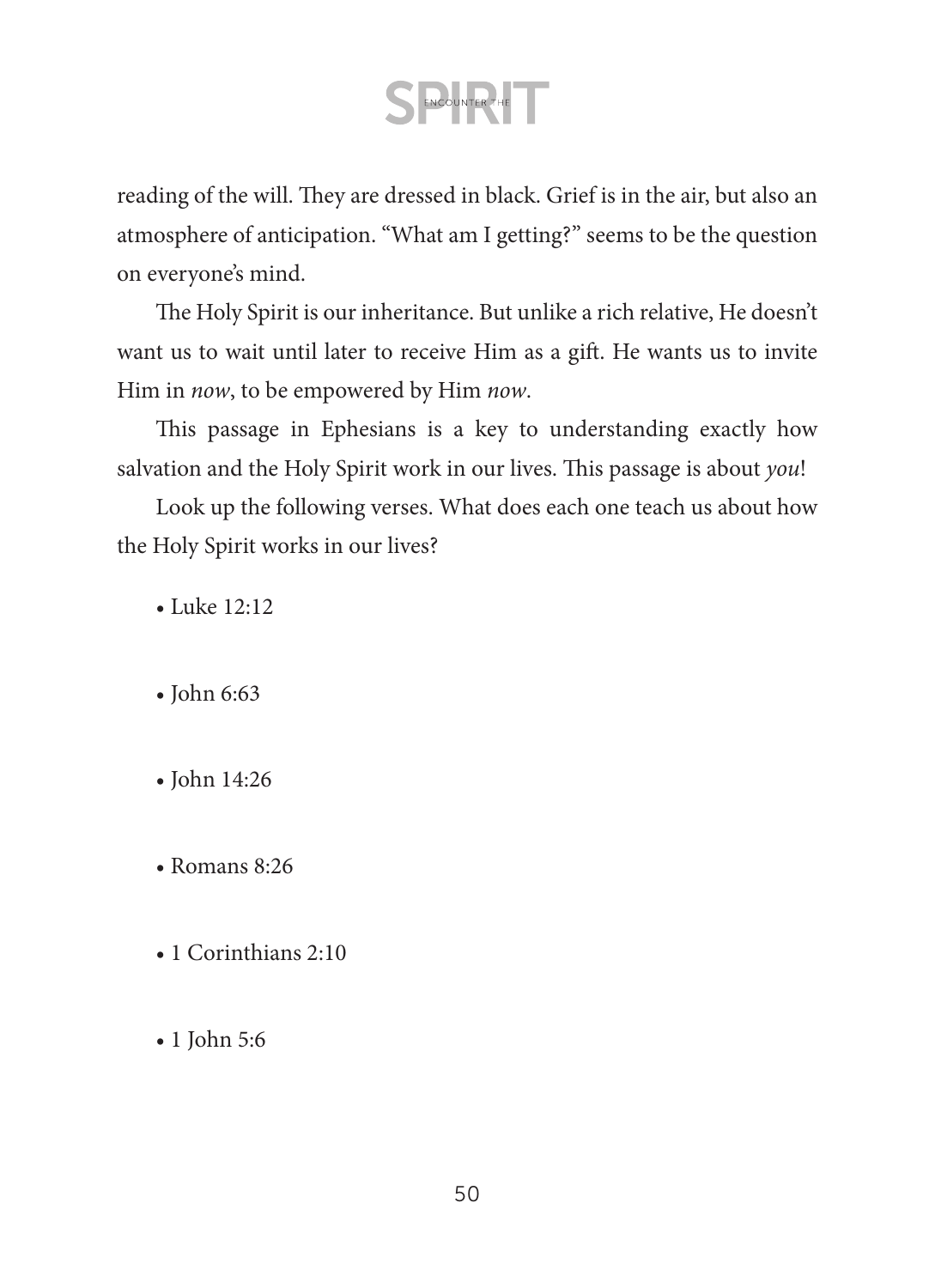reading of the will. They are dressed in black. Grief is in the air, but also an atmosphere of anticipation. "What am I getting?" seems to be the question on everyone's mind.

The Holy Spirit is our inheritance. But unlike a rich relative, He doesn't want us to wait until later to receive Him as a gift. He wants us to invite Him in *now*, to be empowered by Him *now*.

This passage in Ephesians is a key to understanding exactly how salvation and the Holy Spirit work in our lives. This passage is about *you*!

Look up the following verses. What does each one teach us about how the Holy Spirit works in our lives?

- Luke 12:12
- John 6:63
- John 14:26
- Romans 8:26
- 1 Corinthians 2:10
- 1 John 5:6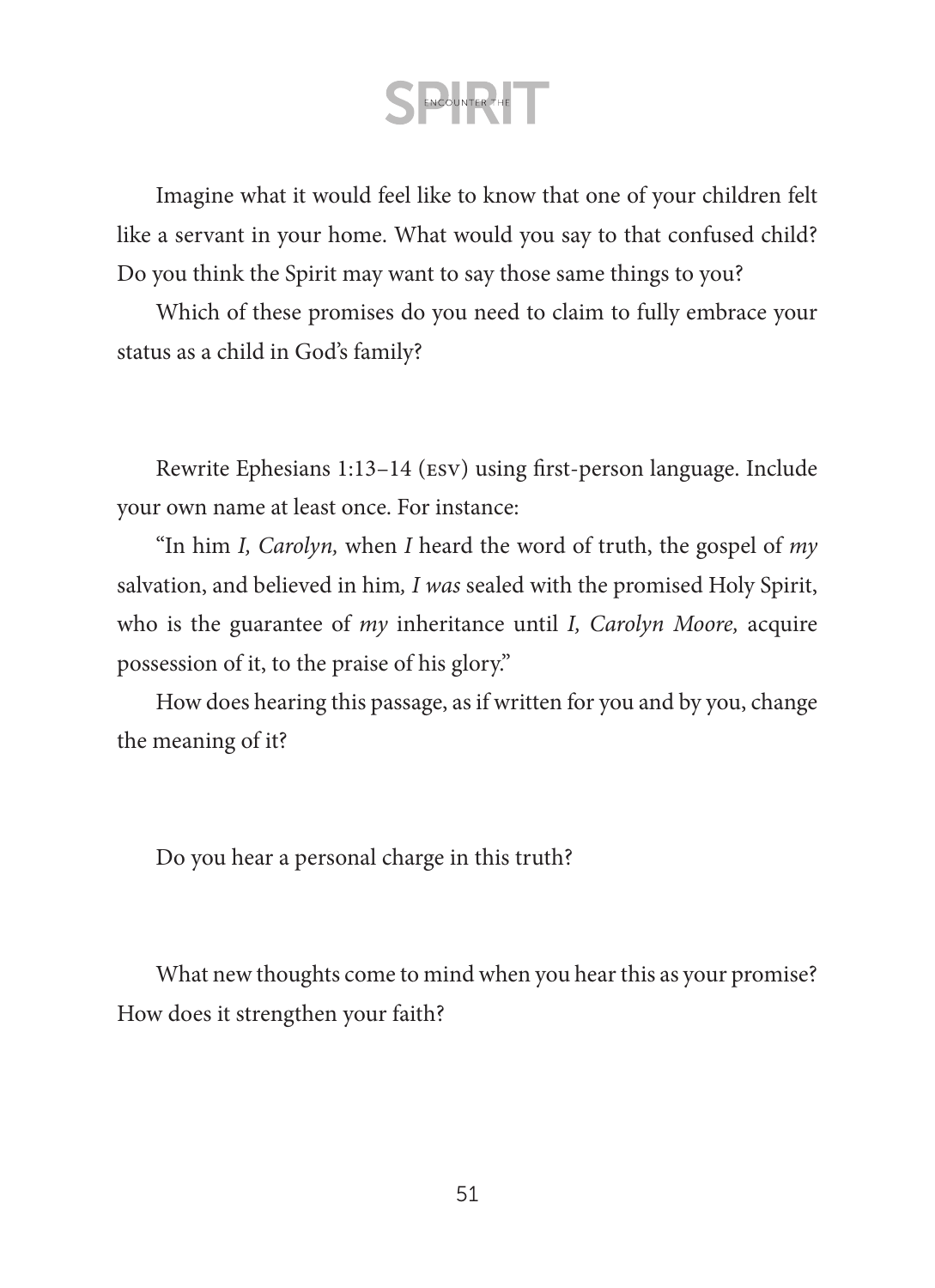Imagine what it would feel like to know that one of your children felt like a servant in your home. What would you say to that confused child? Do you think the Spirit may want to say those same things to you?

Which of these promises do you need to claim to fully embrace your status as a child in God's family?

Rewrite Ephesians 1:13–14 (esv) using first-person language. Include your own name at least once. For instance:

"In him *I, Carolyn,* when *I* heard the word of truth, the gospel of *my* salvation, and believed in him*, I was* sealed with the promised Holy Spirit, who is the guarantee of *my* inheritance until *I, Carolyn Moore,* acquire possession of it, to the praise of his glory."

How does hearing this passage, as if written for you and by you, change the meaning of it?

Do you hear a personal charge in this truth?

What new thoughts come to mind when you hear this as your promise? How does it strengthen your faith?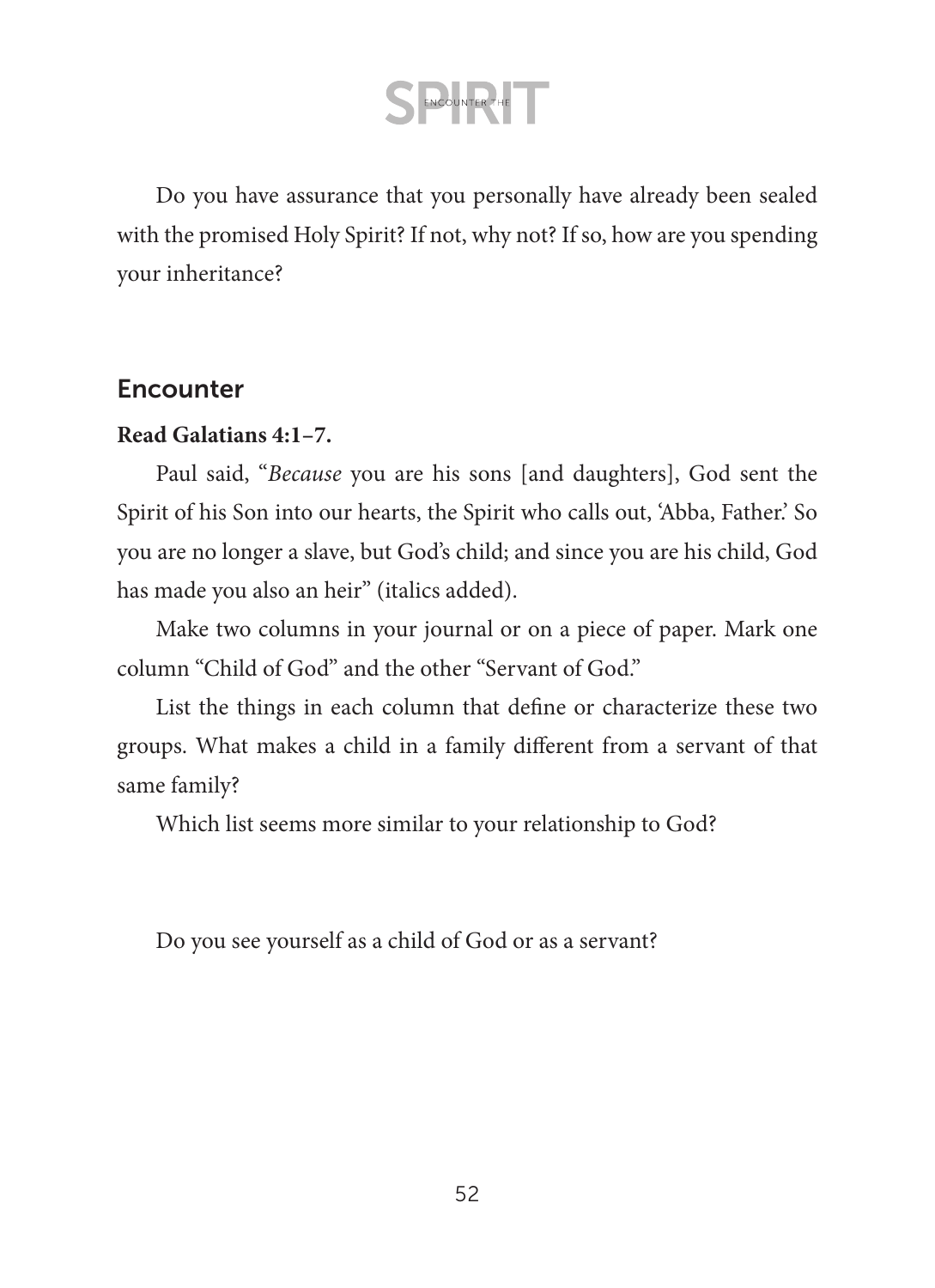Do you have assurance that you personally have already been sealed with the promised Holy Spirit? If not, why not? If so, how are you spending your inheritance?

### **Encounter**

### **Read Galatians 4:1–7.**

Paul said, "*Because* you are his sons [and daughters], God sent the Spirit of his Son into our hearts, the Spirit who calls out, 'Abba, Father.' So you are no longer a slave, but God's child; and since you are his child, God has made you also an heir" (italics added).

Make two columns in your journal or on a piece of paper. Mark one column "Child of God" and the other "Servant of God."

List the things in each column that define or characterize these two groups. What makes a child in a family different from a servant of that same family?

Which list seems more similar to your relationship to God?

Do you see yourself as a child of God or as a servant?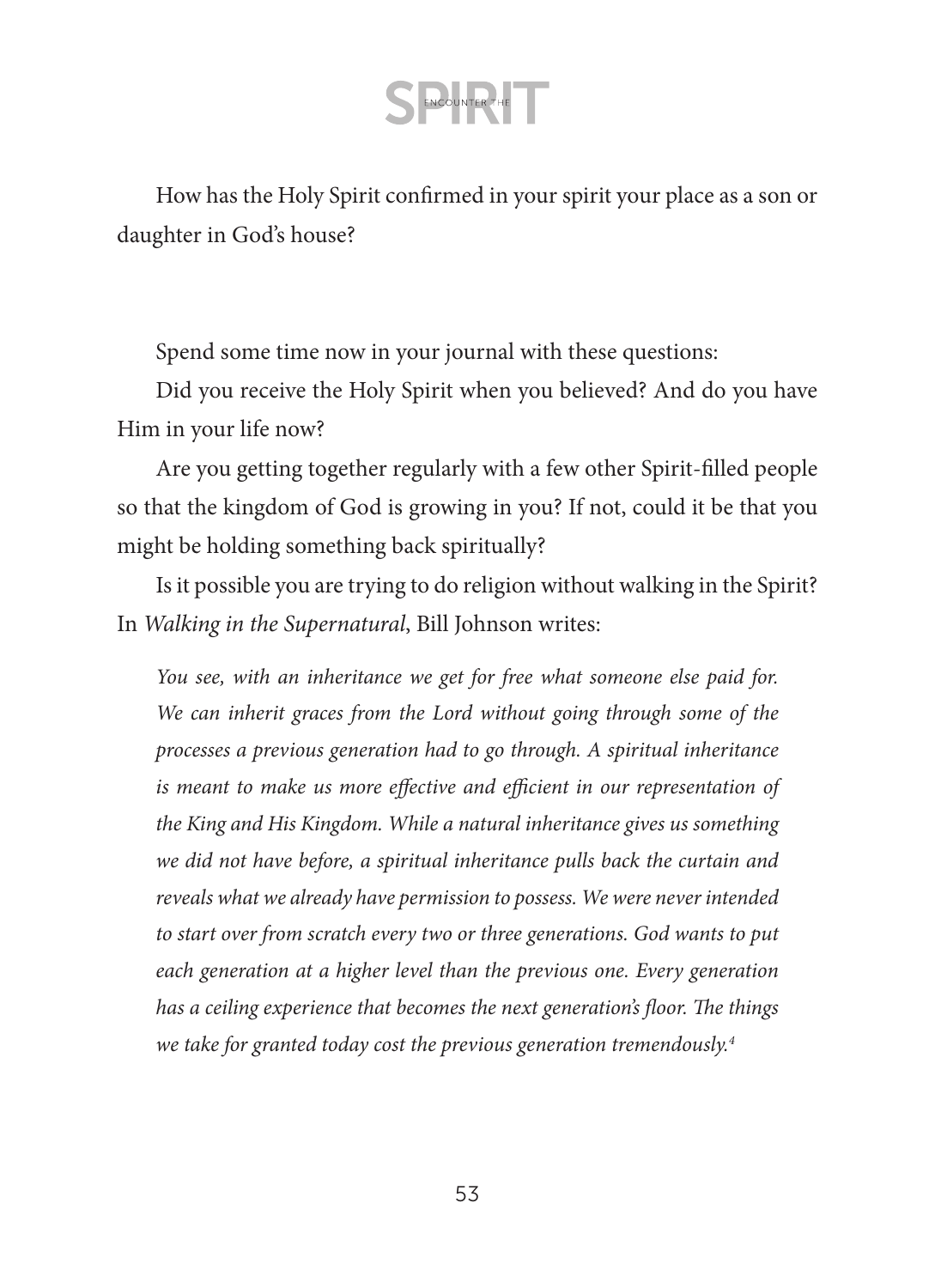How has the Holy Spirit confirmed in your spirit your place as a son or daughter in God's house?

Spend some time now in your journal with these questions:

Did you receive the Holy Spirit when you believed? And do you have Him in your life now?

Are you getting together regularly with a few other Spirit-filled people so that the kingdom of God is growing in you? If not, could it be that you might be holding something back spiritually?

Is it possible you are trying to do religion without walking in the Spirit? In *Walking in the Supernatural*, Bill Johnson writes:

*You see, with an inheritance we get for free what someone else paid for. We can inherit graces from the Lord without going through some of the processes a previous generation had to go through. A spiritual inheritance is meant to make us more effective and efficient in our representation of the King and His Kingdom. While a natural inheritance gives us something we did not have before, a spiritual inheritance pulls back the curtain and reveals what we already have permission to possess. We were never intended to start over from scratch every two or three generations. God wants to put each generation at a higher level than the previous one. Every generation has a ceiling experience that becomes the next generation's floor. The things we take for granted today cost the previous generation tremendously.4*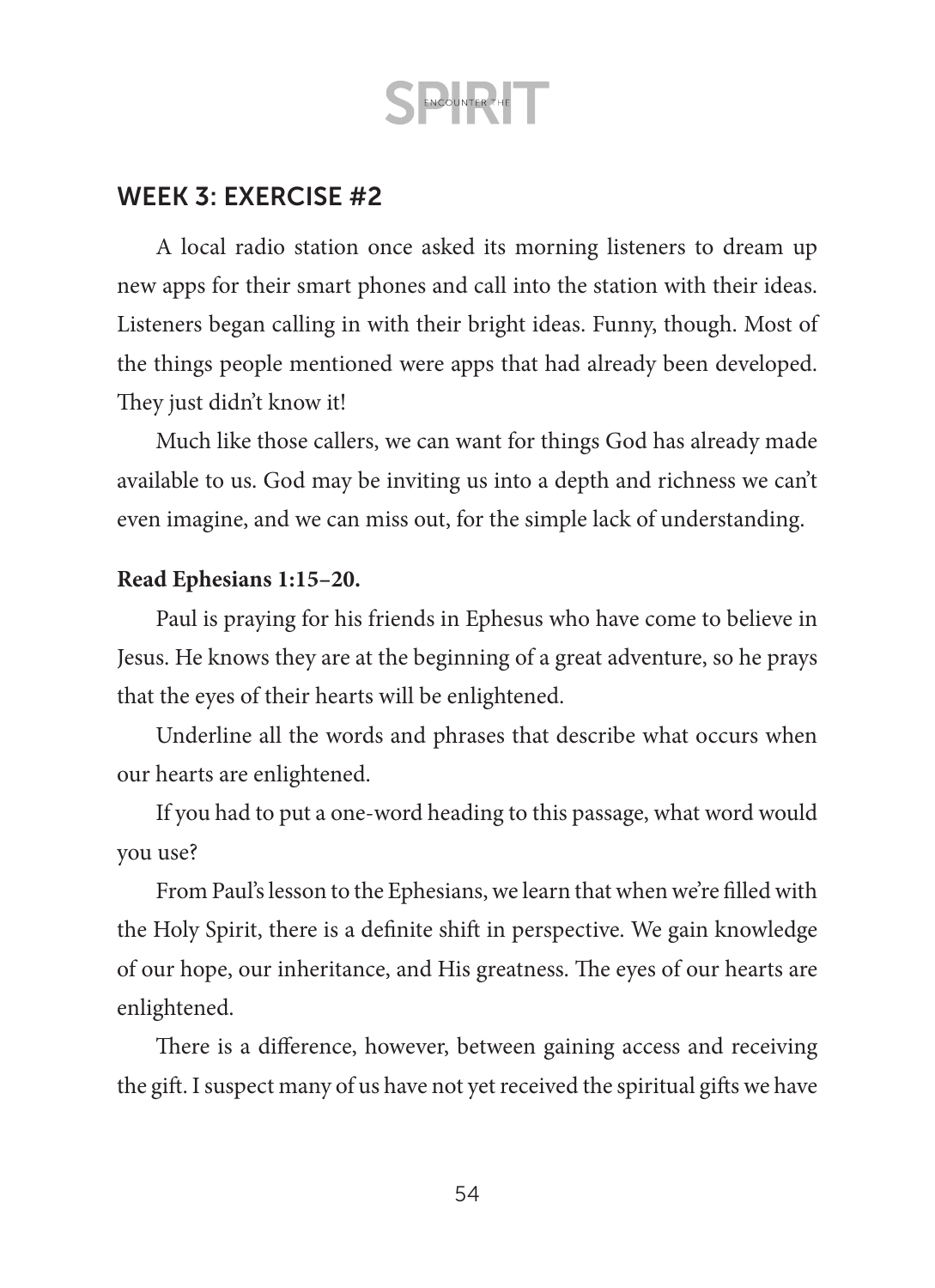### WEEK 3: EXERCISE #2

A local radio station once asked its morning listeners to dream up new apps for their smart phones and call into the station with their ideas. Listeners began calling in with their bright ideas. Funny, though. Most of the things people mentioned were apps that had already been developed. They just didn't know it!

Much like those callers, we can want for things God has already made available to us. God may be inviting us into a depth and richness we can't even imagine, and we can miss out, for the simple lack of understanding.

#### **Read Ephesians 1:15–20.**

Paul is praying for his friends in Ephesus who have come to believe in Jesus. He knows they are at the beginning of a great adventure, so he prays that the eyes of their hearts will be enlightened.

Underline all the words and phrases that describe what occurs when our hearts are enlightened.

If you had to put a one-word heading to this passage, what word would you use?

From Paul's lesson to the Ephesians, we learn that when we're filled with the Holy Spirit, there is a definite shift in perspective. We gain knowledge of our hope, our inheritance, and His greatness. The eyes of our hearts are enlightened.

There is a difference, however, between gaining access and receiving the gift. I suspect many of us have not yet received the spiritual gifts we have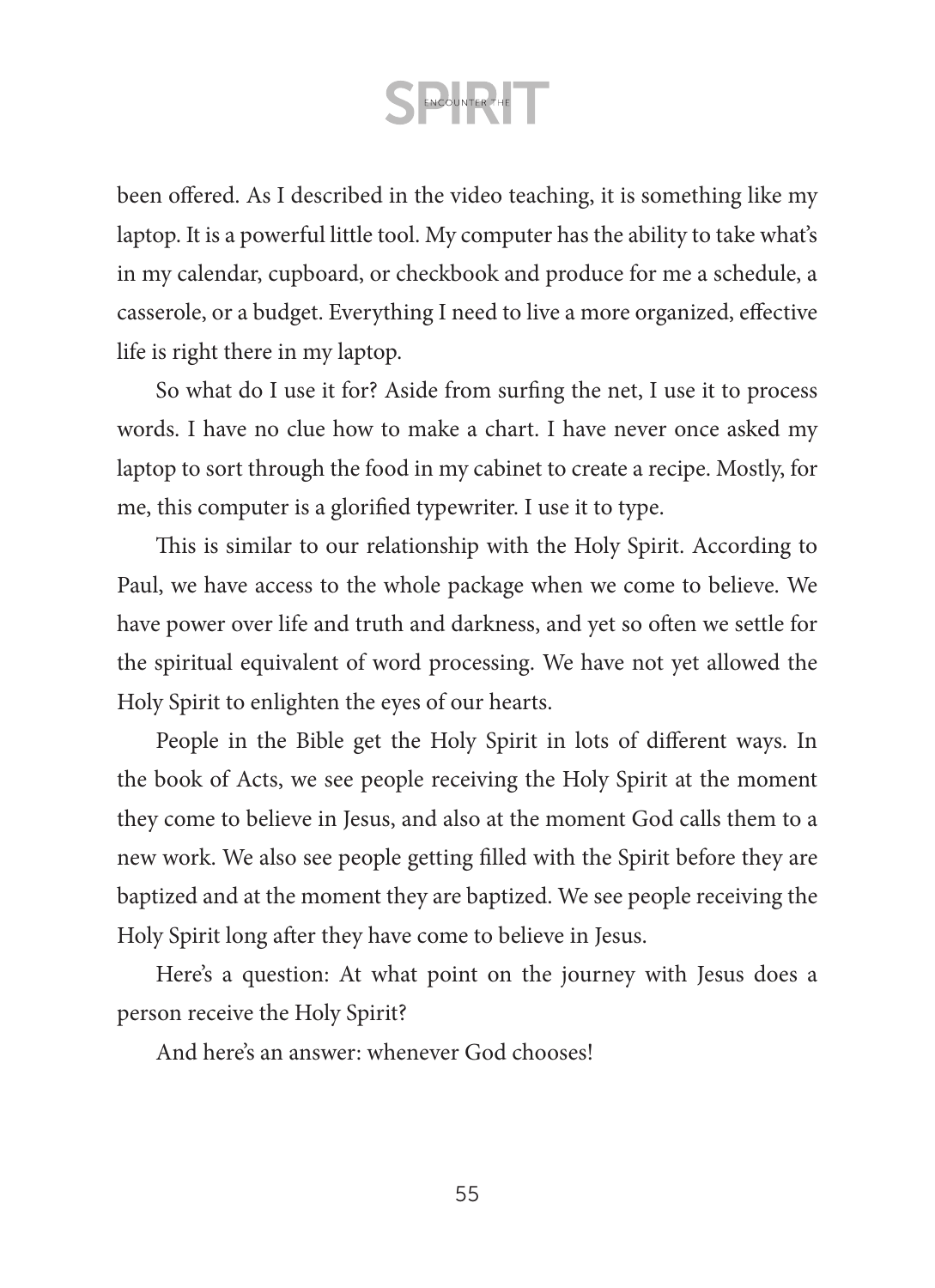been offered. As I described in the video teaching, it is something like my laptop. It is a powerful little tool. My computer has the ability to take what's in my calendar, cupboard, or checkbook and produce for me a schedule, a casserole, or a budget. Everything I need to live a more organized, effective life is right there in my laptop.

So what do I use it for? Aside from surfing the net, I use it to process words. I have no clue how to make a chart. I have never once asked my laptop to sort through the food in my cabinet to create a recipe. Mostly, for me, this computer is a glorified typewriter. I use it to type.

This is similar to our relationship with the Holy Spirit. According to Paul, we have access to the whole package when we come to believe. We have power over life and truth and darkness, and yet so often we settle for the spiritual equivalent of word processing. We have not yet allowed the Holy Spirit to enlighten the eyes of our hearts.

People in the Bible get the Holy Spirit in lots of different ways. In the book of Acts, we see people receiving the Holy Spirit at the moment they come to believe in Jesus, and also at the moment God calls them to a new work. We also see people getting filled with the Spirit before they are baptized and at the moment they are baptized. We see people receiving the Holy Spirit long after they have come to believe in Jesus.

Here's a question: At what point on the journey with Jesus does a person receive the Holy Spirit?

And here's an answer: whenever God chooses!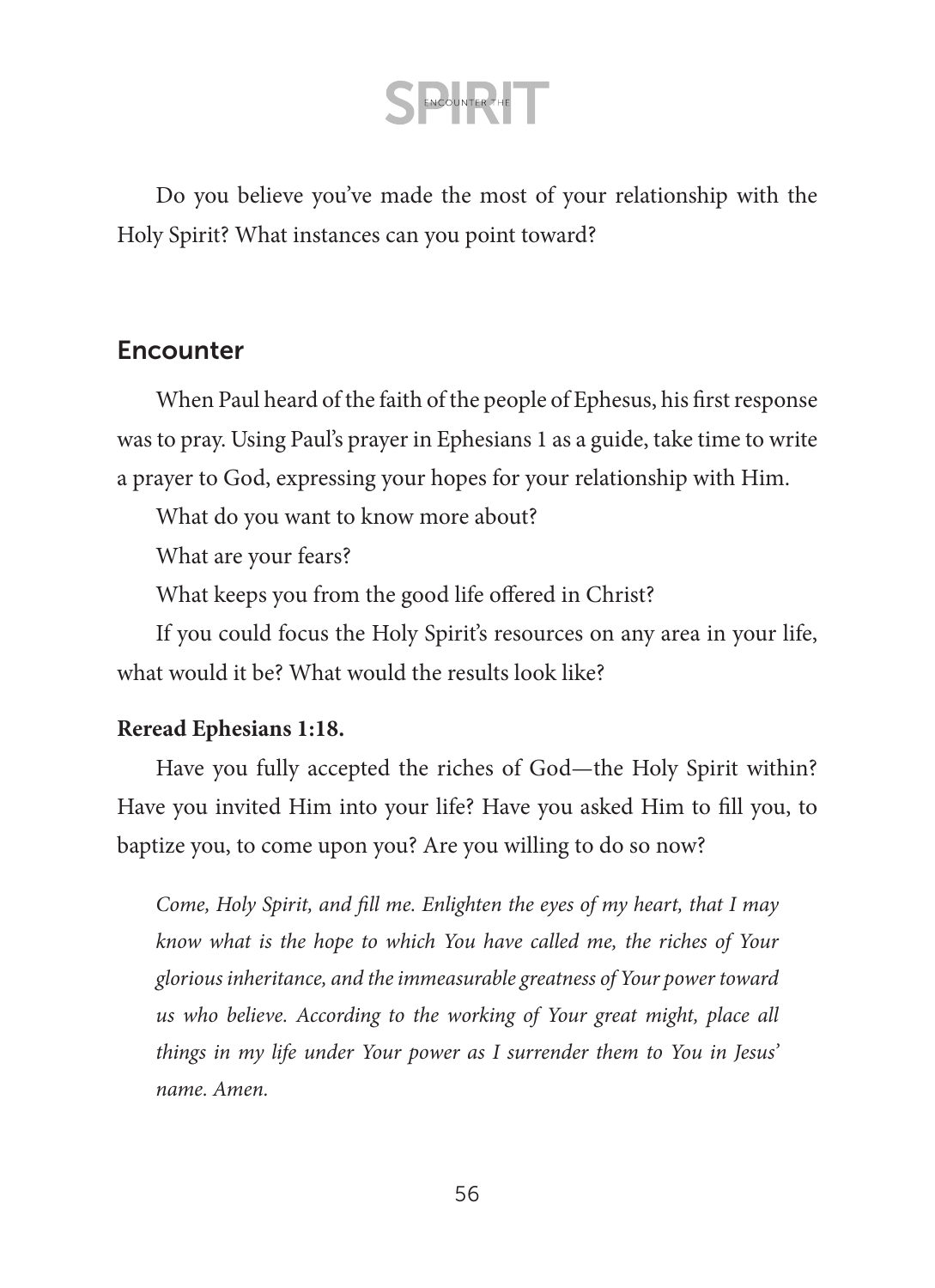Do you believe you've made the most of your relationship with the Holy Spirit? What instances can you point toward?

### **Encounter**

When Paul heard of the faith of the people of Ephesus, his first response was to pray. Using Paul's prayer in Ephesians 1 as a guide, take time to write a prayer to God, expressing your hopes for your relationship with Him.

What do you want to know more about?

What are your fears?

What keeps you from the good life offered in Christ?

If you could focus the Holy Spirit's resources on any area in your life, what would it be? What would the results look like?

### **Reread Ephesians 1:18.**

Have you fully accepted the riches of God—the Holy Spirit within? Have you invited Him into your life? Have you asked Him to fill you, to baptize you, to come upon you? Are you willing to do so now?

*Come, Holy Spirit, and fill me. Enlighten the eyes of my heart, that I may know what is the hope to which You have called me, the riches of Your glorious inheritance, and the immeasurable greatness of Your power toward us who believe. According to the working of Your great might, place all things in my life under Your power as I surrender them to You in Jesus' name. Amen.*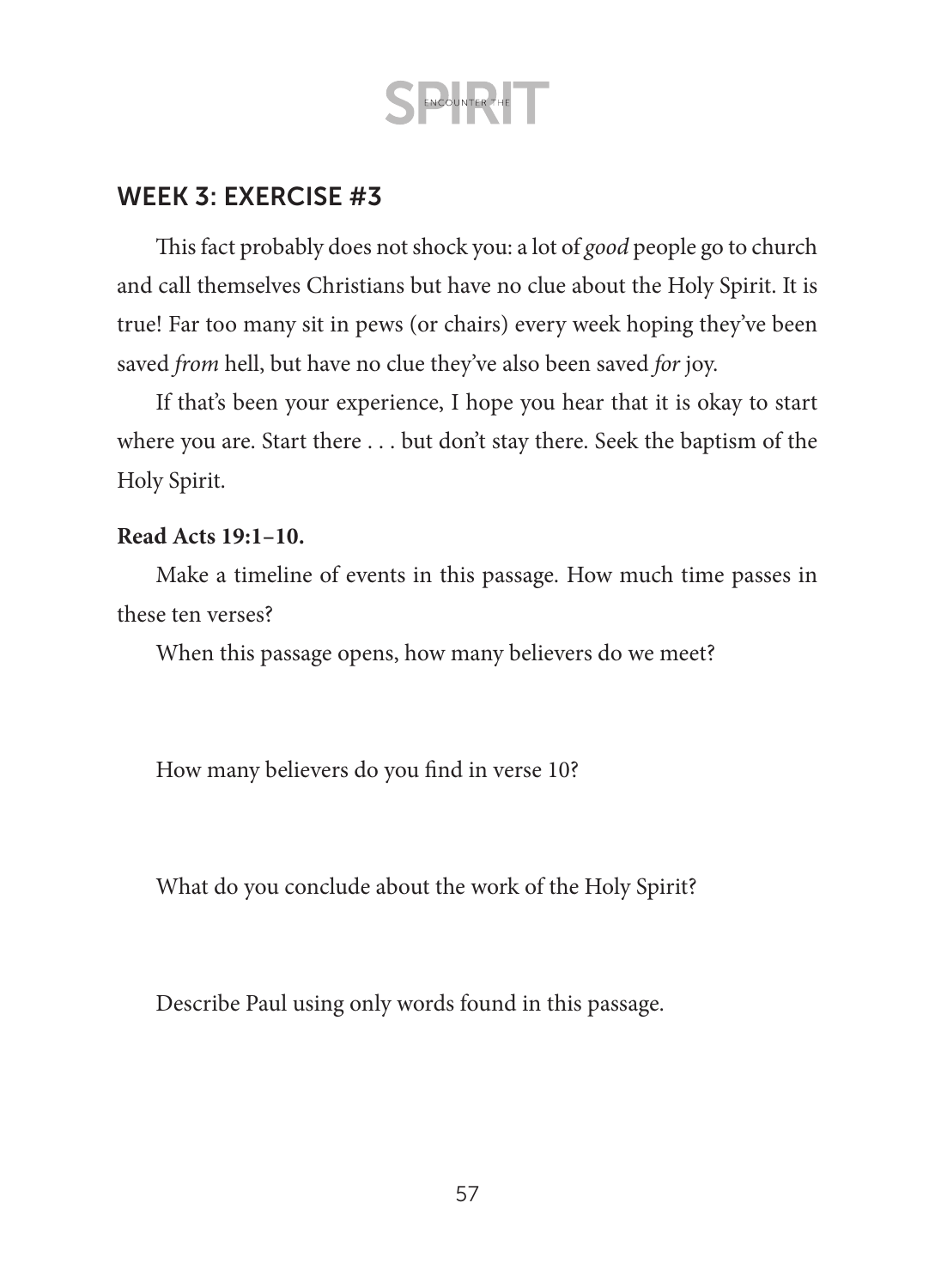### WEEK 3: EXERCISE #3

This fact probably does not shock you: a lot of *good* people go to church and call themselves Christians but have no clue about the Holy Spirit. It is true! Far too many sit in pews (or chairs) every week hoping they've been saved *from* hell, but have no clue they've also been saved *for* joy.

If that's been your experience, I hope you hear that it is okay to start where you are. Start there . . . but don't stay there. Seek the baptism of the Holy Spirit.

#### **Read Acts 19:1–10.**

Make a timeline of events in this passage. How much time passes in these ten verses?

When this passage opens, how many believers do we meet?

How many believers do you find in verse 10?

What do you conclude about the work of the Holy Spirit?

Describe Paul using only words found in this passage.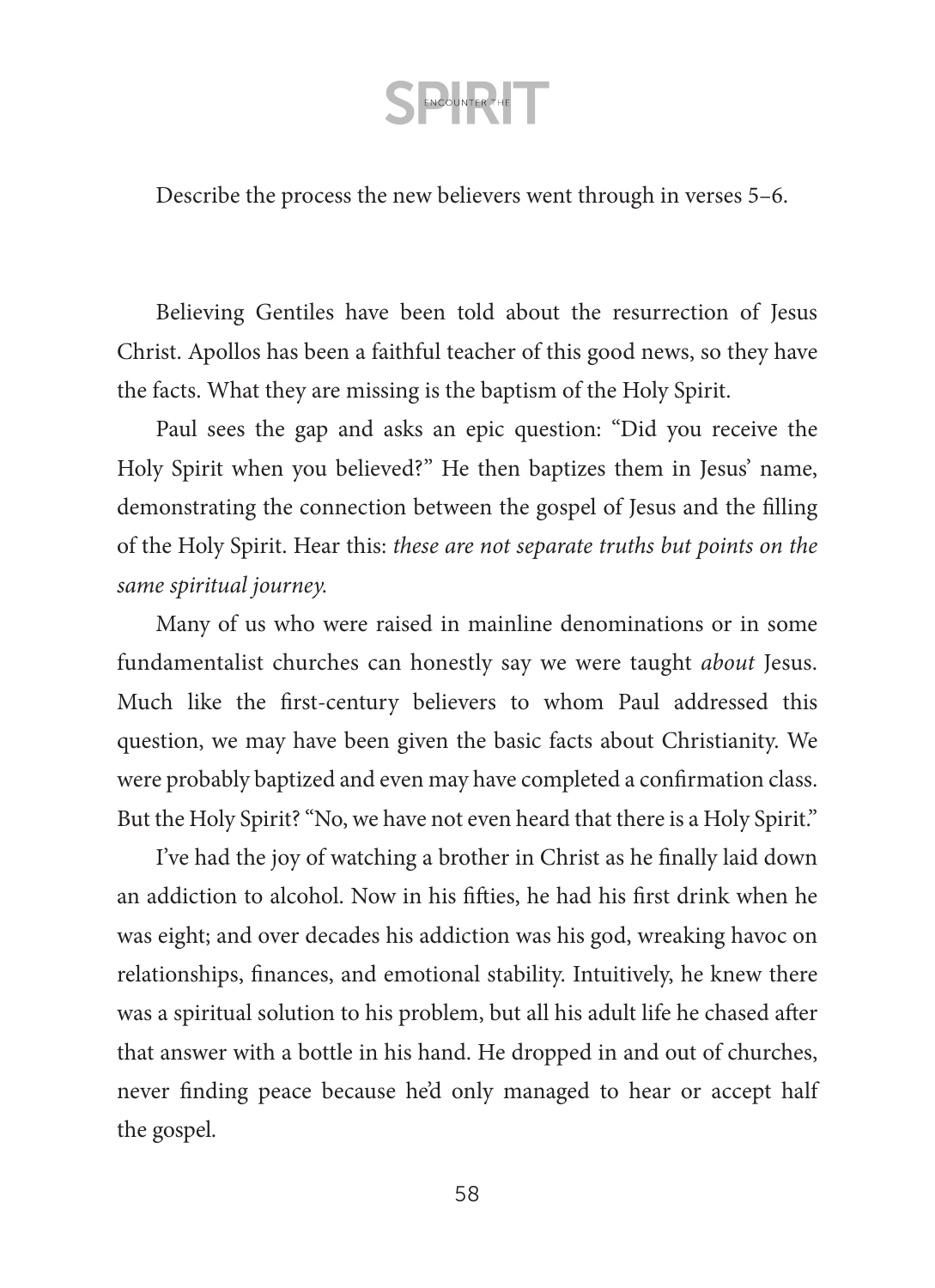Describe the process the new believers went through in verses 5–6.

Believing Gentiles have been told about the resurrection of Jesus Christ. Apollos has been a faithful teacher of this good news, so they have the facts. What they are missing is the baptism of the Holy Spirit.

Paul sees the gap and asks an epic question: "Did you receive the Holy Spirit when you believed?" He then baptizes them in Jesus' name, demonstrating the connection between the gospel of Jesus and the filling of the Holy Spirit. Hear this: *these are not separate truths but points on the same spiritual journey.*

Many of us who were raised in mainline denominations or in some fundamentalist churches can honestly say we were taught *about* Jesus. Much like the first-century believers to whom Paul addressed this question, we may have been given the basic facts about Christianity. We were probably baptized and even may have completed a confirmation class. But the Holy Spirit? "No, we have not even heard that there is a Holy Spirit."

I've had the joy of watching a brother in Christ as he finally laid down an addiction to alcohol. Now in his fifties, he had his first drink when he was eight; and over decades his addiction was his god, wreaking havoc on relationships, finances, and emotional stability. Intuitively, he knew there was a spiritual solution to his problem, but all his adult life he chased after that answer with a bottle in his hand. He dropped in and out of churches, never finding peace because he'd only managed to hear or accept half the gospel.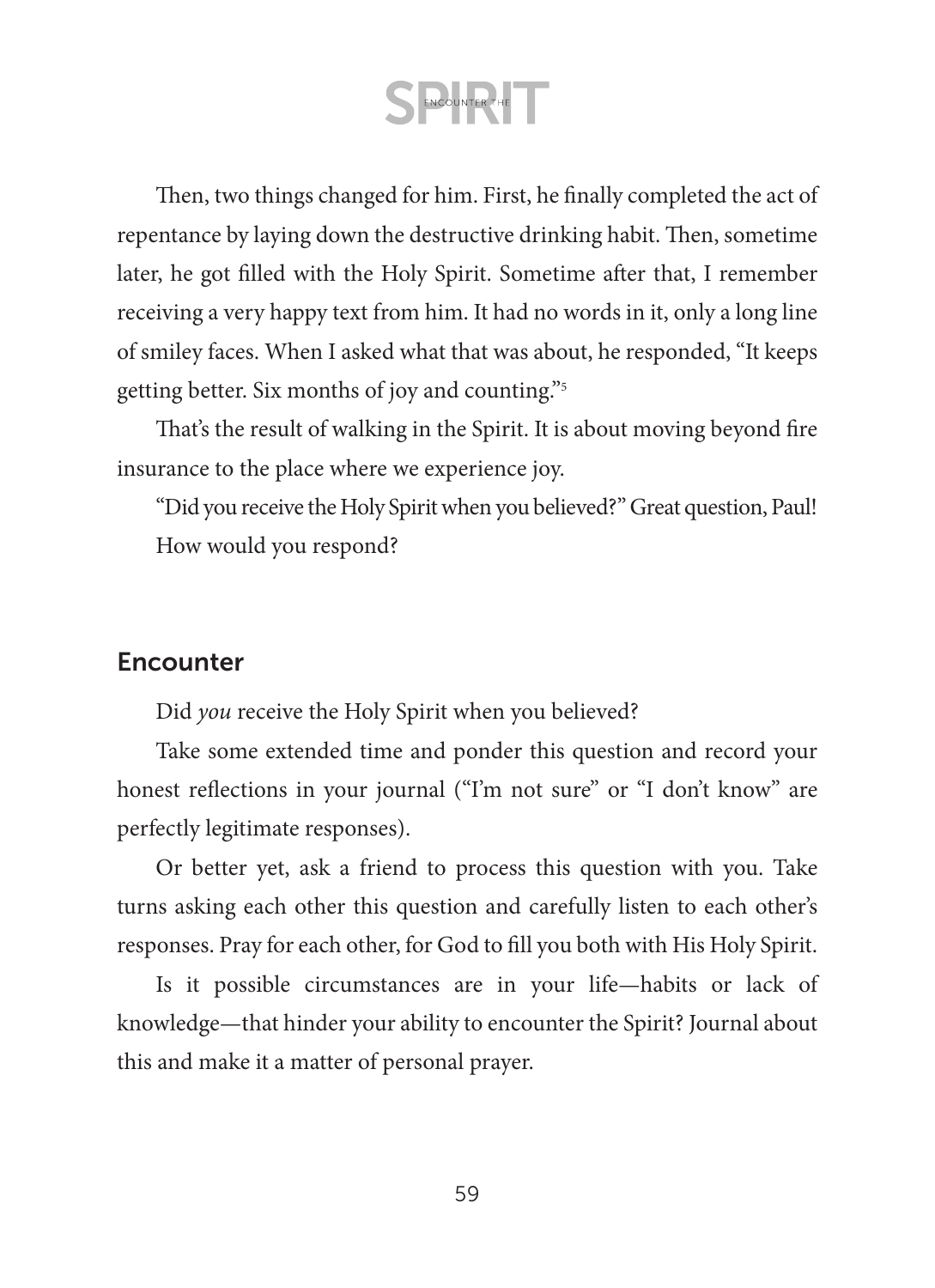Then, two things changed for him. First, he finally completed the act of repentance by laying down the destructive drinking habit. Then, sometime later, he got filled with the Holy Spirit. Sometime after that, I remember receiving a very happy text from him. It had no words in it, only a long line of smiley faces. When I asked what that was about, he responded, "It keeps getting better. Six months of joy and counting."5

That's the result of walking in the Spirit. It is about moving beyond fire insurance to the place where we experience joy.

"Did you receive the Holy Spirit when you believed?" Great question, Paul! How would you respond?

### **Encounter**

Did *you* receive the Holy Spirit when you believed?

Take some extended time and ponder this question and record your honest reflections in your journal ("I'm not sure" or "I don't know" are perfectly legitimate responses).

Or better yet, ask a friend to process this question with you. Take turns asking each other this question and carefully listen to each other's responses. Pray for each other, for God to fill you both with His Holy Spirit.

Is it possible circumstances are in your life—habits or lack of knowledge—that hinder your ability to encounter the Spirit? Journal about this and make it a matter of personal prayer.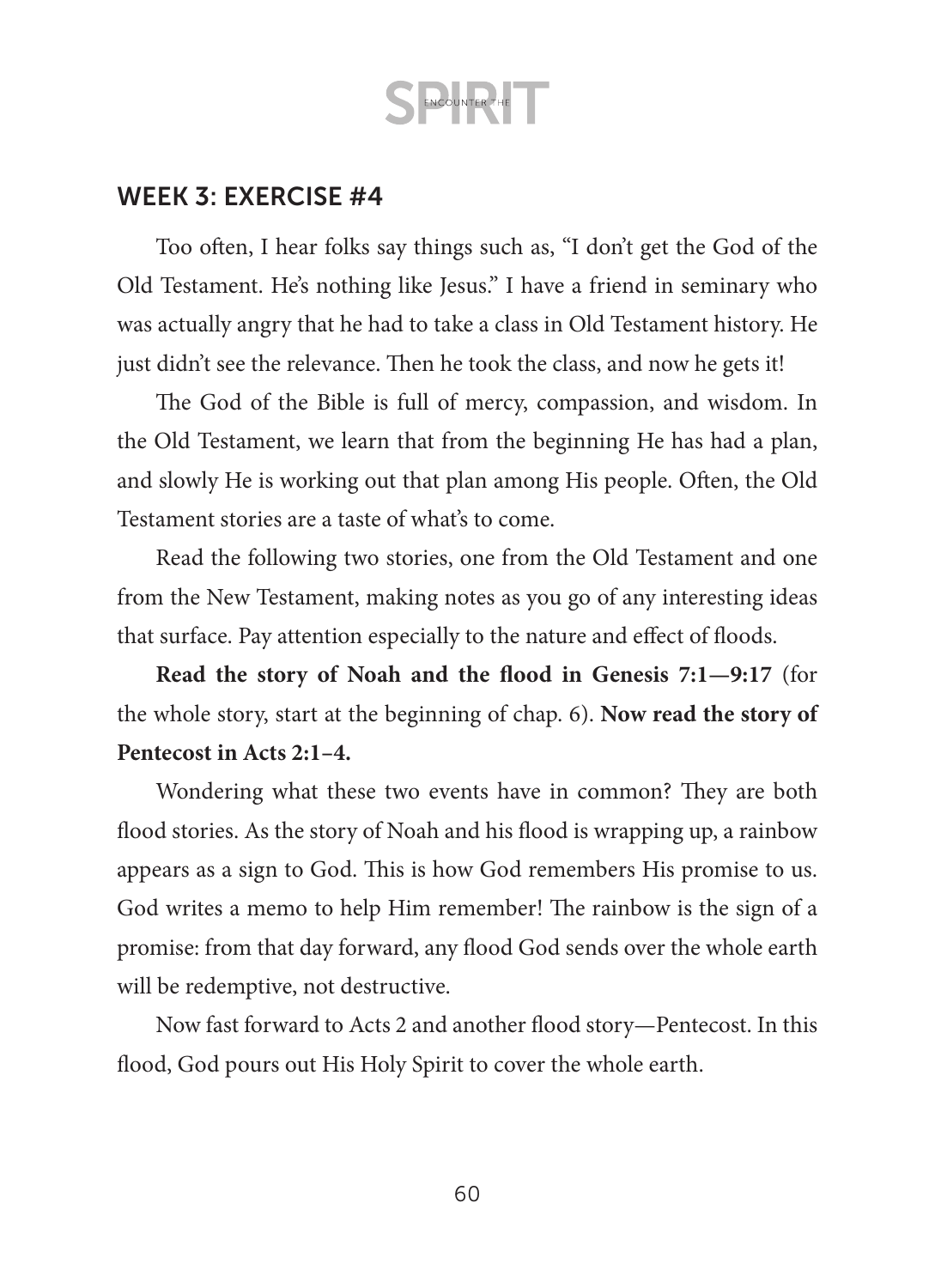### WEEK 3: EXERCISE #4

Too often, I hear folks say things such as, "I don't get the God of the Old Testament. He's nothing like Jesus." I have a friend in seminary who was actually angry that he had to take a class in Old Testament history. He just didn't see the relevance. Then he took the class, and now he gets it!

The God of the Bible is full of mercy, compassion, and wisdom. In the Old Testament, we learn that from the beginning He has had a plan, and slowly He is working out that plan among His people. Often, the Old Testament stories are a taste of what's to come.

Read the following two stories, one from the Old Testament and one from the New Testament, making notes as you go of any interesting ideas that surface. Pay attention especially to the nature and effect of floods.

**Read the story of Noah and the flood in Genesis 7:1—9:17** (for the whole story, start at the beginning of chap. 6). **Now read the story of Pentecost in Acts 2:1–4.**

Wondering what these two events have in common? They are both flood stories. As the story of Noah and his flood is wrapping up, a rainbow appears as a sign to God. This is how God remembers His promise to us. God writes a memo to help Him remember! The rainbow is the sign of a promise: from that day forward, any flood God sends over the whole earth will be redemptive, not destructive.

Now fast forward to Acts 2 and another flood story—Pentecost. In this flood, God pours out His Holy Spirit to cover the whole earth.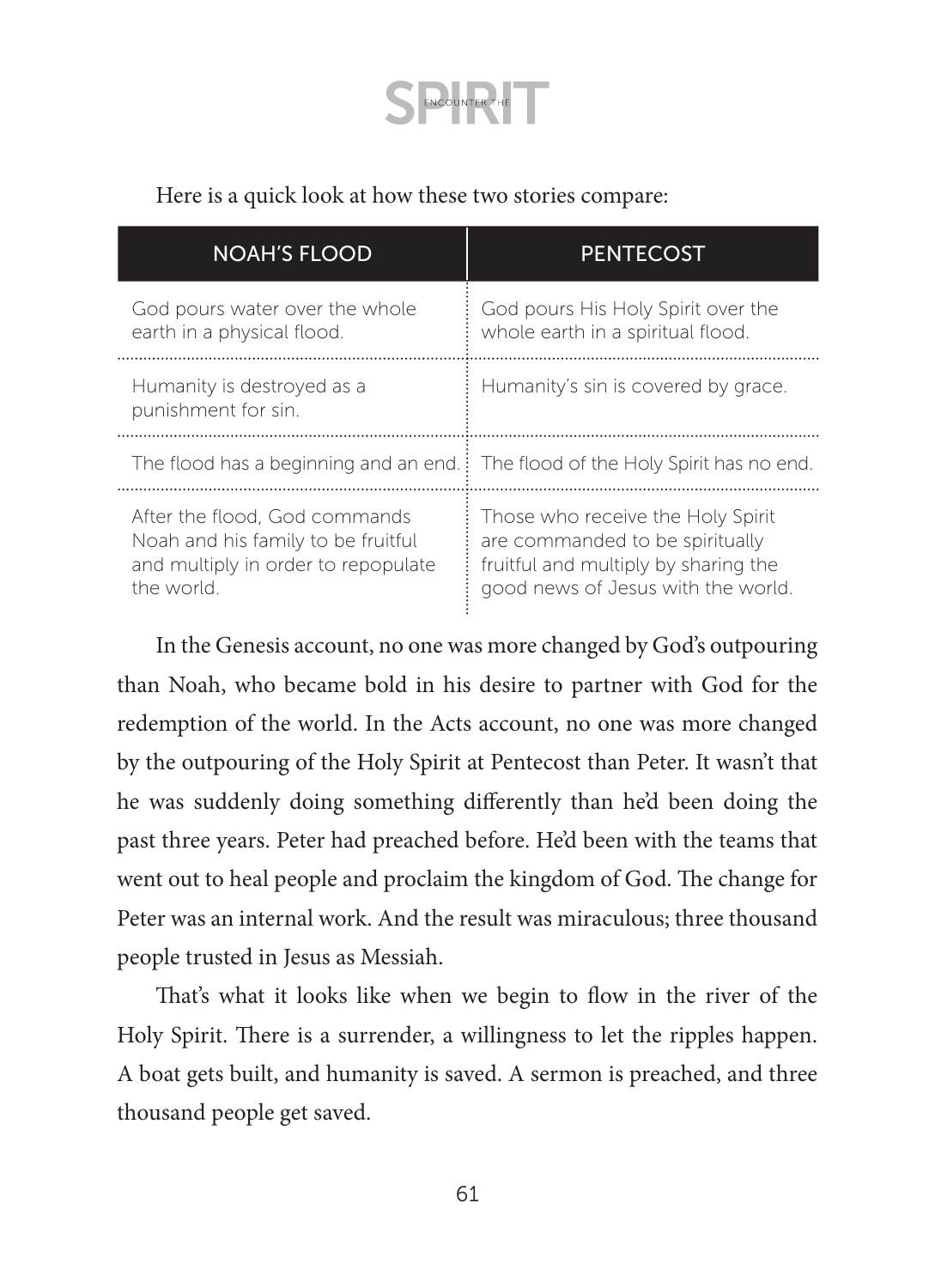Here is a quick look at how these two stories compare:

| <b>NOAH'S FLOOD</b>                                                                                                     | <b>PENTECOST</b>                                                                                                                                   |
|-------------------------------------------------------------------------------------------------------------------------|----------------------------------------------------------------------------------------------------------------------------------------------------|
| God pours water over the whole<br>earth in a physical flood.                                                            | God pours His Holy Spirit over the<br>whole earth in a spiritual flood.                                                                            |
| Humanity is destroyed as a<br>punishment for sin.                                                                       | Humanity's sin is covered by grace.                                                                                                                |
|                                                                                                                         | The flood has a beginning and an end. The flood of the Holy Spirit has no end.                                                                     |
| After the flood. God commands<br>Noah and his family to be fruitful<br>and multiply in order to repopulate<br>the world | Those who receive the Holy Spirit<br>are commanded to be spiritually<br>fruitful and multiply by sharing the<br>good news of Jesus with the world. |

In the Genesis account, no one was more changed by God's outpouring than Noah, who became bold in his desire to partner with God for the redemption of the world. In the Acts account, no one was more changed by the outpouring of the Holy Spirit at Pentecost than Peter. It wasn't that he was suddenly doing something differently than he'd been doing the past three years. Peter had preached before. He'd been with the teams that went out to heal people and proclaim the kingdom of God. The change for Peter was an internal work. And the result was miraculous; three thousand people trusted in Jesus as Messiah.

That's what it looks like when we begin to flow in the river of the Holy Spirit. There is a surrender, a willingness to let the ripples happen. A boat gets built, and humanity is saved. A sermon is preached, and three thousand people get saved.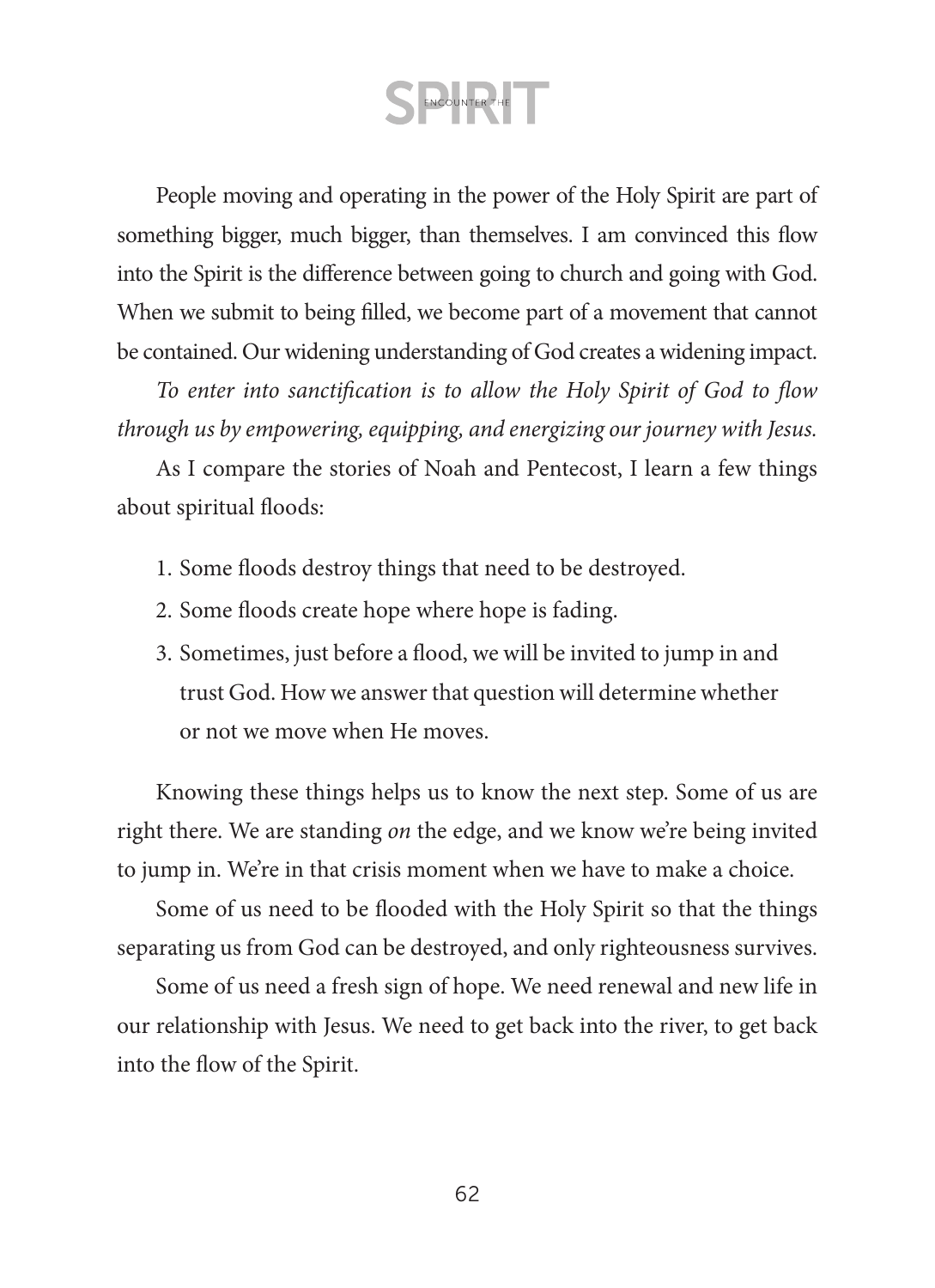People moving and operating in the power of the Holy Spirit are part of something bigger, much bigger, than themselves. I am convinced this flow into the Spirit is the difference between going to church and going with God. When we submit to being filled, we become part of a movement that cannot be contained. Our widening understanding of God creates a widening impact.

*To enter into sanctification is to allow the Holy Spirit of God to flow through us by empowering, equipping, and energizing our journey with Jesus.*

As I compare the stories of Noah and Pentecost, I learn a few things about spiritual floods:

- 1. Some floods destroy things that need to be destroyed.
- 2. Some floods create hope where hope is fading.
- 3. Sometimes, just before a flood, we will be invited to jump in and trust God. How we answer that question will determine whether or not we move when He moves.

Knowing these things helps us to know the next step. Some of us are right there. We are standing *on* the edge, and we know we're being invited to jump in. We're in that crisis moment when we have to make a choice.

Some of us need to be flooded with the Holy Spirit so that the things separating us from God can be destroyed, and only righteousness survives.

Some of us need a fresh sign of hope. We need renewal and new life in our relationship with Jesus. We need to get back into the river, to get back into the flow of the Spirit.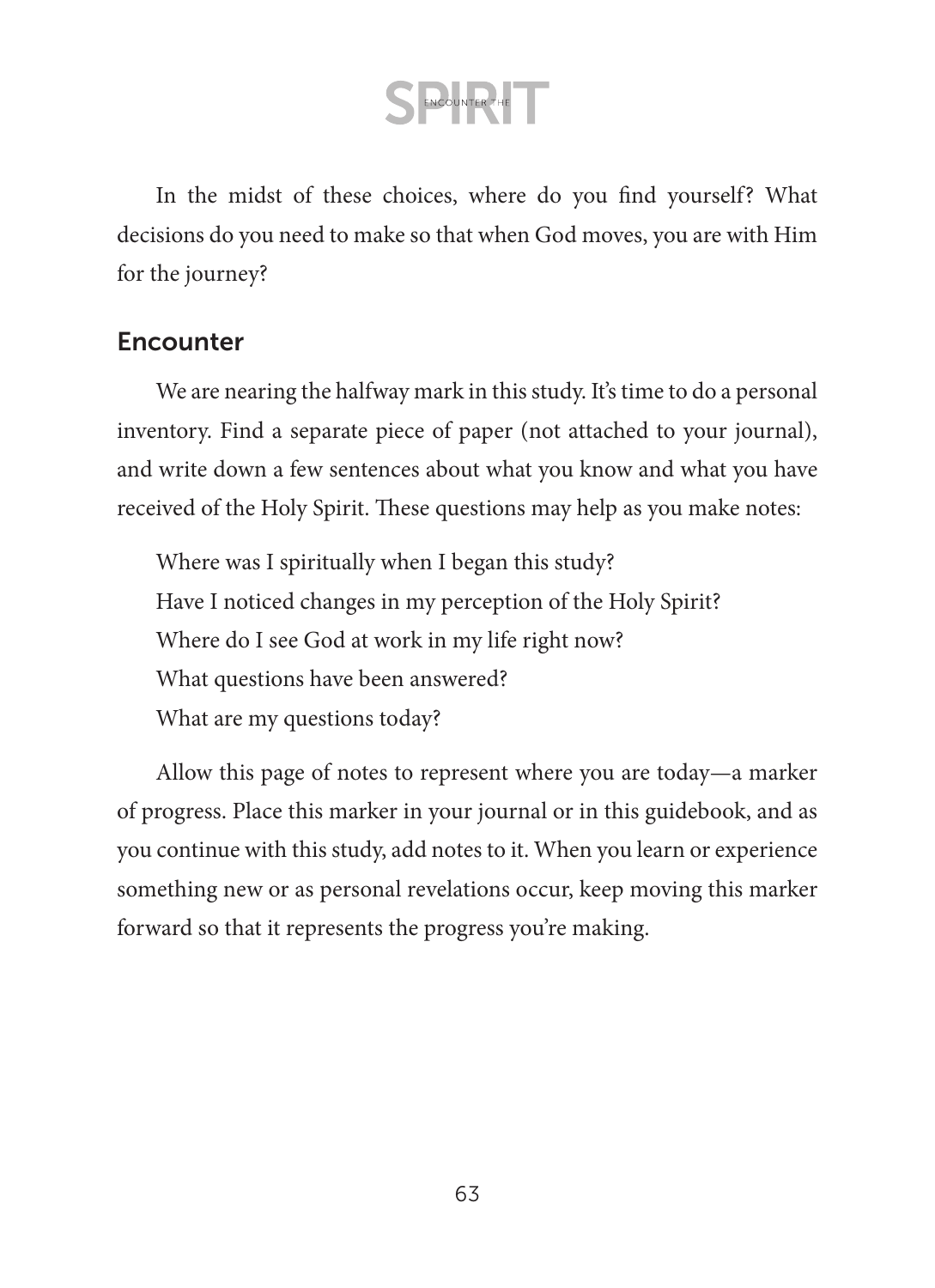In the midst of these choices, where do you find yourself? What decisions do you need to make so that when God moves, you are with Him for the journey?

### **Encounter**

We are nearing the halfway mark in this study. It's time to do a personal inventory. Find a separate piece of paper (not attached to your journal), and write down a few sentences about what you know and what you have received of the Holy Spirit. These questions may help as you make notes:

Where was I spiritually when I began this study? Have I noticed changes in my perception of the Holy Spirit? Where do I see God at work in my life right now? What questions have been answered? What are my questions today?

Allow this page of notes to represent where you are today—a marker of progress. Place this marker in your journal or in this guidebook, and as you continue with this study, add notes to it. When you learn or experience something new or as personal revelations occur, keep moving this marker forward so that it represents the progress you're making.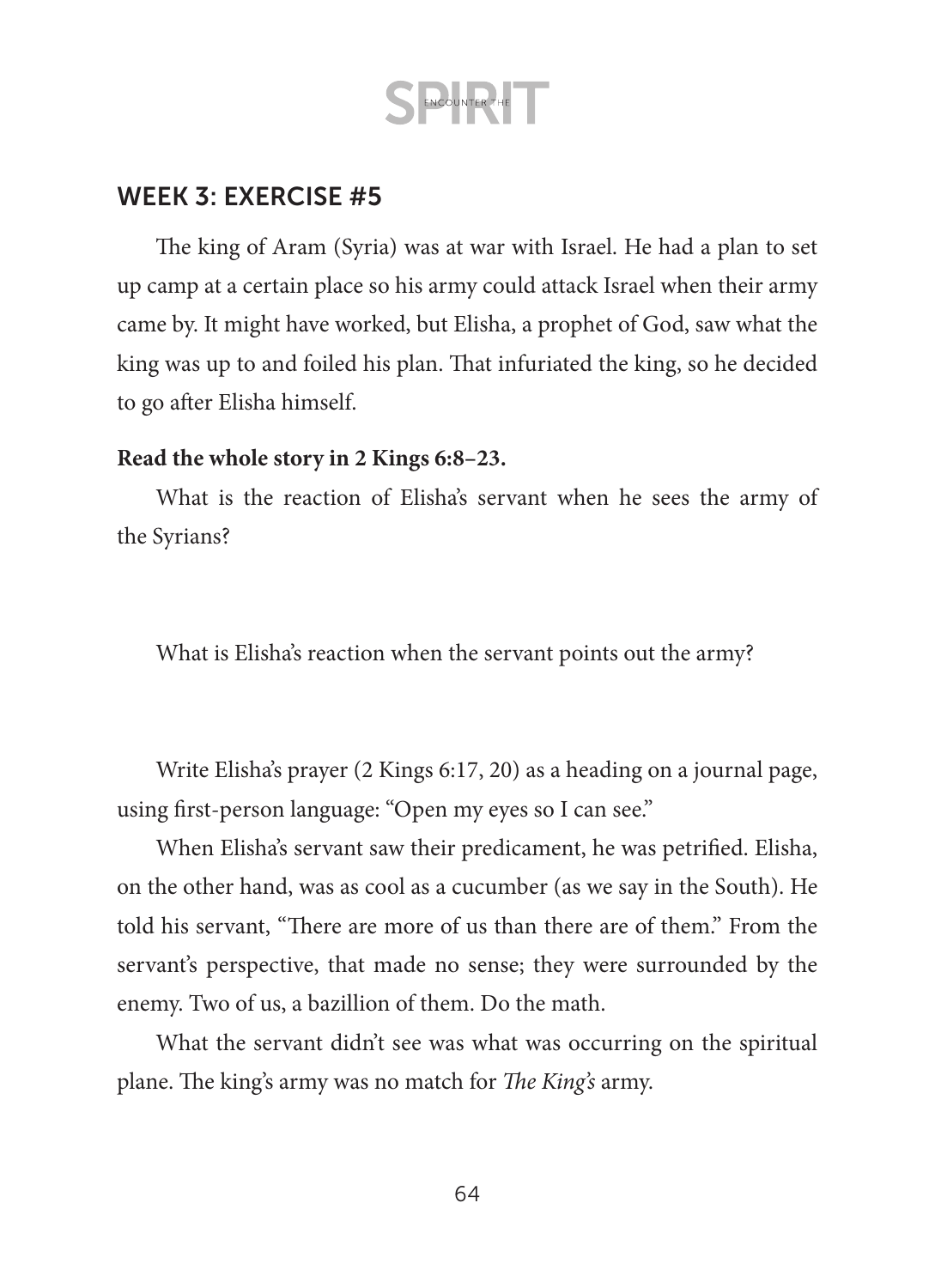### WEEK 3: EXERCISE #5

The king of Aram (Syria) was at war with Israel. He had a plan to set up camp at a certain place so his army could attack Israel when their army came by. It might have worked, but Elisha, a prophet of God, saw what the king was up to and foiled his plan. That infuriated the king, so he decided to go after Elisha himself.

#### **Read the whole story in 2 Kings 6:8–23.**

What is the reaction of Elisha's servant when he sees the army of the Syrians?

What is Elisha's reaction when the servant points out the army?

Write Elisha's prayer (2 Kings 6:17, 20) as a heading on a journal page, using first-person language: "Open my eyes so I can see."

When Elisha's servant saw their predicament, he was petrified. Elisha, on the other hand, was as cool as a cucumber (as we say in the South). He told his servant, "There are more of us than there are of them." From the servant's perspective, that made no sense; they were surrounded by the enemy. Two of us, a bazillion of them. Do the math.

What the servant didn't see was what was occurring on the spiritual plane. The king's army was no match for *The King's* army.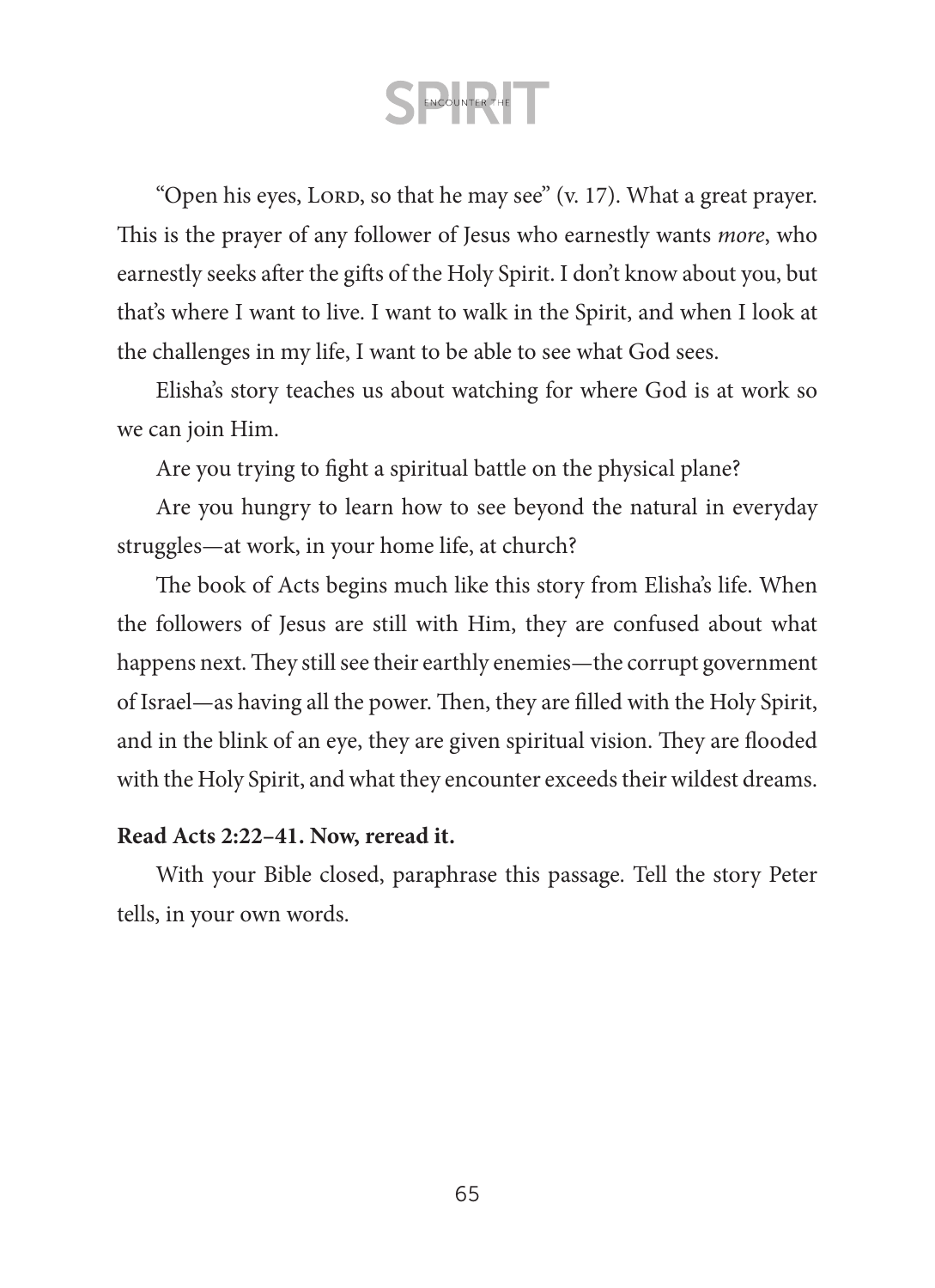"Open his eyes, LORD, so that he may see" (v. 17). What a great prayer. This is the prayer of any follower of Jesus who earnestly wants *more*, who earnestly seeks after the gifts of the Holy Spirit. I don't know about you, but that's where I want to live. I want to walk in the Spirit, and when I look at the challenges in my life, I want to be able to see what God sees.

Elisha's story teaches us about watching for where God is at work so we can join Him.

Are you trying to fight a spiritual battle on the physical plane?

Are you hungry to learn how to see beyond the natural in everyday struggles—at work, in your home life, at church?

The book of Acts begins much like this story from Elisha's life. When the followers of Jesus are still with Him, they are confused about what happens next. They still see their earthly enemies—the corrupt government of Israel—as having all the power. Then, they are filled with the Holy Spirit, and in the blink of an eye, they are given spiritual vision. They are flooded with the Holy Spirit, and what they encounter exceeds their wildest dreams.

#### **Read Acts 2:22–41. Now, reread it.**

With your Bible closed, paraphrase this passage. Tell the story Peter tells, in your own words.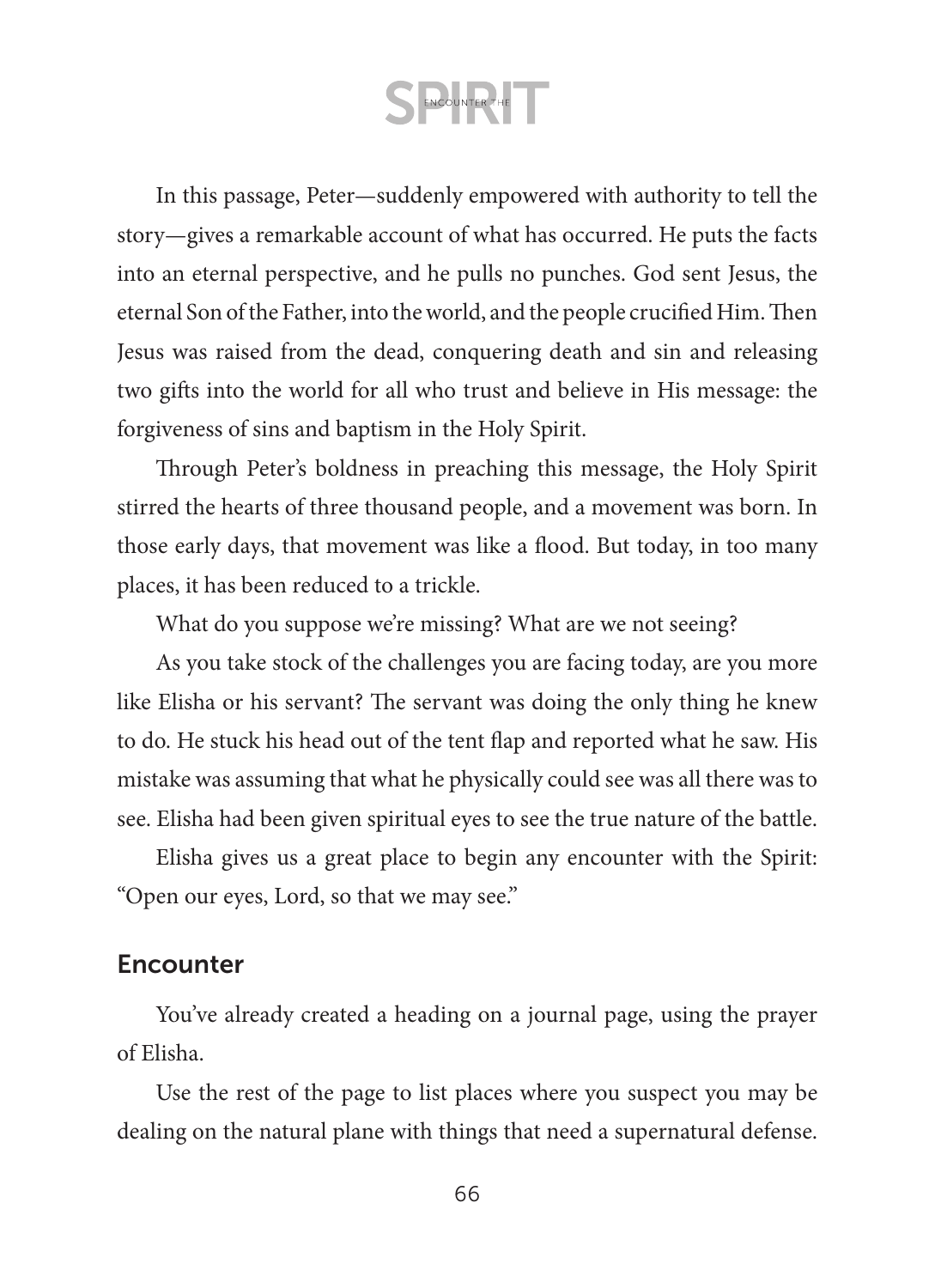In this passage, Peter—suddenly empowered with authority to tell the story—gives a remarkable account of what has occurred. He puts the facts into an eternal perspective, and he pulls no punches. God sent Jesus, the eternal Son of the Father, into the world, and the people crucified Him. Then Jesus was raised from the dead, conquering death and sin and releasing two gifts into the world for all who trust and believe in His message: the forgiveness of sins and baptism in the Holy Spirit.

Through Peter's boldness in preaching this message, the Holy Spirit stirred the hearts of three thousand people, and a movement was born. In those early days, that movement was like a flood. But today, in too many places, it has been reduced to a trickle.

What do you suppose we're missing? What are we not seeing?

As you take stock of the challenges you are facing today, are you more like Elisha or his servant? The servant was doing the only thing he knew to do. He stuck his head out of the tent flap and reported what he saw. His mistake was assuming that what he physically could see was all there was to see. Elisha had been given spiritual eyes to see the true nature of the battle.

Elisha gives us a great place to begin any encounter with the Spirit: "Open our eyes, Lord, so that we may see."

### **Encounter**

You've already created a heading on a journal page, using the prayer of Elisha.

Use the rest of the page to list places where you suspect you may be dealing on the natural plane with things that need a supernatural defense.